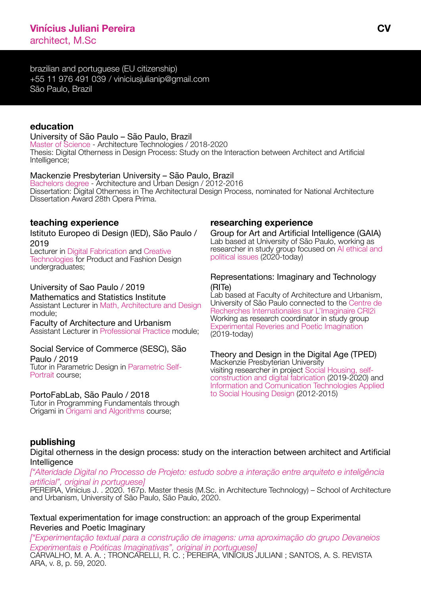brazilian and portuguese (EU citizenship) +55 11 976 491 039 / viniciusjulianip@gmail.com São Paulo, Brazil

### **education**

#### University of São Paulo – São Paulo, Brazil

Master of Science - Architecture Technologies / 2018-2020 Thesis: Digital Otherness in Design Process: Study on the Interaction between Architect and Artificial Intelligence;

### Mackenzie Presbyterian University – São Paulo, Brazil

Bachelors degree - Architecture and Urban Design / 2012-2016 Dissertation: [Digital Otherness in The Architectural Design Process,](https://issuu.com/viniciusjulianipereira/docs/vjp_r03_-_com_capa) nominated for National Architecture Dissertation Award 28th Opera Prima.

### **teaching experience**

[Istituto Europeo di Design \(IED\), São Paulo /](https://www.ied.edu/ied-locations/sao-paulo?activityId=701w0000001KUFu&gclid=CjwKCAjwps75BRAcEiwAEiACMSTMvpz56cA_wOYwsO7L1VMTKg4ZSbdh2nKLNlcZVwMK2uzXGx7dVRoCkGMQAvD_BwE)  [2019](https://www.ied.edu/ied-locations/sao-paulo?activityId=701w0000001KUFu&gclid=CjwKCAjwps75BRAcEiwAEiACMSTMvpz56cA_wOYwsO7L1VMTKg4ZSbdh2nKLNlcZVwMK2uzXGx7dVRoCkGMQAvD_BwE)

[Lecturer in Digital Fabrication and Creative](https://www.ied.edu/ied-locations/sao-paulo?activityId=701w0000001KUFu&gclid=CjwKCAjwps75BRAcEiwAEiACMSTMvpz56cA_wOYwsO7L1VMTKg4ZSbdh2nKLNlcZVwMK2uzXGx7dVRoCkGMQAvD_BwE)  [Technologies for Product and Fashion Design](https://www.ied.edu/ied-locations/sao-paulo?activityId=701w0000001KUFu&gclid=CjwKCAjwps75BRAcEiwAEiACMSTMvpz56cA_wOYwsO7L1VMTKg4ZSbdh2nKLNlcZVwMK2uzXGx7dVRoCkGMQAvD_BwE)  [undergraduates;](https://www.ied.edu/ied-locations/sao-paulo?activityId=701w0000001KUFu&gclid=CjwKCAjwps75BRAcEiwAEiACMSTMvpz56cA_wOYwsO7L1VMTKg4ZSbdh2nKLNlcZVwMK2uzXGx7dVRoCkGMQAvD_BwE)

### [University of Sao Paulo / 2019](https://www.ime.usp.br/)

[Mathematics and Statistics Institute](https://www.ime.usp.br/) [Assistant Lecturer in Math, Architecture and Design](https://www.ime.usp.br/) [module;](https://www.ime.usp.br/)

[Faculty of Architecture and Urbanism](http://www.fau.usp.br/) [Assistant Lecturer in Professional Practice module;](http://www.fau.usp.br/)

### [Social Service of Commerce \(SESC\), São](https://www.sescsp.org.br/unidades/9_AVENIDA+PAULISTA/#/uaba=facilidades)  [Paulo / 2019](https://www.sescsp.org.br/unidades/9_AVENIDA+PAULISTA/#/uaba=facilidades)

[Tutor in Parametric Design in Parametric Self-](https://www.sescsp.org.br/unidades/9_AVENIDA+PAULISTA/#/uaba=facilidades)[Portrait course;](https://www.sescsp.org.br/unidades/9_AVENIDA+PAULISTA/#/uaba=facilidades) 

### [PortoFabLab, São Paulo / 2018](https://www.fablabs.io/labs/portofablab)

[Tutor in Programming Fundamentals through](https://www.fablabs.io/labs/portofablab)  [Origami in Origami and Algorithms course;](https://www.fablabs.io/labs/portofablab)

# **researching experience**

[Group for Art and Artificial Intelligence \(GAIA\)](https://sites.usp.br/gaia/) [Lab based at University of São Paulo, working as](https://sites.usp.br/gaia/)  [researcher in study group focused on AI ethical and](https://sites.usp.br/gaia/)  [political issues \(2020-today\)](https://sites.usp.br/gaia/)

### [Representations: Imaginary and Technology](http://dgp.cnpq.br/dgp/espelhogrupo/6620857108016620)  [\(RITe\)](http://dgp.cnpq.br/dgp/espelhogrupo/6620857108016620)

[Lab based at Faculty of Architecture and Urbanism,](http://dgp.cnpq.br/dgp/espelhogrupo/6620857108016620)  [University of São Paulo connected to the Centre de](http://dgp.cnpq.br/dgp/espelhogrupo/6620857108016620)  [Recherches Internationales sur L'Imaginaire CRI2i](http://dgp.cnpq.br/dgp/espelhogrupo/6620857108016620) [Working as research coordinator in study group](http://dgp.cnpq.br/dgp/espelhogrupo/6620857108016620)  [Experimental Reveries and Poetic Imagination](http://dgp.cnpq.br/dgp/espelhogrupo/6620857108016620) [\(2019-today\)](http://dgp.cnpq.br/dgp/espelhogrupo/6620857108016620)

#### [Theory and Design in the Digital Age \(TPED\)](http://dgp.cnpq.br/dgp/espelhogrupo/3555328045760601) [Mackenzie Presbyterian University](http://dgp.cnpq.br/dgp/espelhogrupo/3555328045760601) [visiting researcher in project Social Housing, self-](http://dgp.cnpq.br/dgp/espelhogrupo/3555328045760601)

[construction and digital fabrication \(2019-2020\) and](http://dgp.cnpq.br/dgp/espelhogrupo/3555328045760601)  [Information and Comunication Technologies Applied](http://dgp.cnpq.br/dgp/espelhogrupo/3555328045760601)  [to Social Housing Design \(2012-2015\)](http://dgp.cnpq.br/dgp/espelhogrupo/3555328045760601)

# **publishing**

Digital otherness in the design process: study on the interaction between architect and Artificial **Intelligence** 

*[\["Alteridade Digital no Processo de Projeto: estudo sobre a interação entre arquiteto e inteligência](https://drive.google.com/file/d/1Ps_1b2a-eoeCxx91rP-RsyG72SIEcrIJ/view?usp=sharing)  [artificial", original in portuguese\]](https://drive.google.com/file/d/1Ps_1b2a-eoeCxx91rP-RsyG72SIEcrIJ/view?usp=sharing)*

[PEREIRA, Vinícius J. . 2020. 167p. Master thesis \(M.Sc. in Architecture Technology\) – School of Architecture](https://drive.google.com/file/d/1Ps_1b2a-eoeCxx91rP-RsyG72SIEcrIJ/view?usp=sharing)  [and Urbanism, University of São Paulo, São Paulo, 2020.](https://drive.google.com/file/d/1Ps_1b2a-eoeCxx91rP-RsyG72SIEcrIJ/view?usp=sharing)

Textual experimentation for image construction: an approach of the group Experimental Reveries and Poetic Imaginar[y](https://www.revistas.usp.br/revistaara/article/view/167822) 

*[\["Experimentação textual para a construção de imagens: uma aproximação do grupo Devaneios](https://www.revistas.usp.br/revistaara/article/view/167822)  [Experimentais e Poéticas Imaginativas", original in portuguese\]](https://www.revistas.usp.br/revistaara/article/view/167822)*  [CARVALHO, M. A. A. ; TRONCARELLI, R. C. ; PEREIRA, VINÍCIUS JULIANI ; SANTOS, A. S. REVISTA](https://www.revistas.usp.br/revistaara/article/view/167822)  [ARA, v. 8, p. 59, 2020.](https://www.revistas.usp.br/revistaara/article/view/167822)